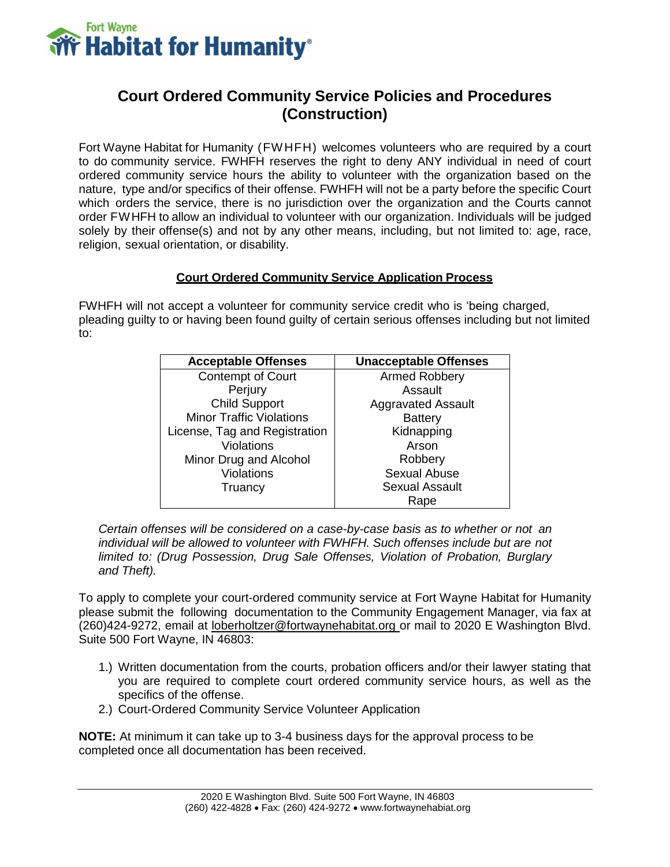

# **Court Ordered Community Service Policies and Procedures (Construction)**

Fort Wayne Habitat for Humanity (FW HFH) welcomes volunteers who are required by a court to do community service. FWHFH reserves the right to deny ANY individual in need of court ordered community service hours the ability to volunteer with the organization based on the nature, type and/or specifics of their offense. FWHFH will not be a party before the specific Court which orders the service, there is no jurisdiction over the organization and the Courts cannot order FWHFH to allow an individual to volunteer with our organization. Individuals will be judged solely by their offense(s) and not by any other means, including, but not limited to: age, race, religion, sexual orientation, or disability.

### **Court Ordered Community Service Application Process**

FWHFH will not accept a volunteer for community service credit who is 'being charged, pleading guilty to or having been found guilty of certain serious offenses including but not limited to:

| <b>Acceptable Offenses</b>      | <b>Unacceptable Offenses</b> |
|---------------------------------|------------------------------|
| <b>Contempt of Court</b>        | Armed Robbery                |
| Perjury                         | Assault                      |
| <b>Child Support</b>            | <b>Aggravated Assault</b>    |
| <b>Minor Traffic Violations</b> | <b>Battery</b>               |
| License, Tag and Registration   | Kidnapping                   |
| <b>Violations</b>               | Arson                        |
| Minor Drug and Alcohol          | Robbery                      |
| Violations                      | Sexual Abuse                 |
| Truancy                         | <b>Sexual Assault</b>        |
|                                 | Rape                         |

*Certain offenses will be considered on a case-by-case basis as to whether or not an individual will be allowed to volunteer with FWHFH. Such offenses include but are not limited to: (Drug Possession, Drug Sale Offenses, Violation of Probation, Burglary and Theft).*

To apply to complete your court-ordered community service at Fort Wayne Habitat for Humanity please submit the following documentation to the Community Engagement Manager, via fax at (260)424-9272, email at [loberholtzer@fortwaynehabitat.org](mailto:loberholtzer@fortwaynehabitat.org) or mail to 2020 E Washington Blvd. Suite 500 Fort Wayne, IN 46803:

- 1.) Written documentation from the courts, probation officers and/or their lawyer stating that you are required to complete court ordered community service hours, as well as the specifics of the offense.
- 2.) Court-Ordered Community Service Volunteer Application

**NOTE:** At minimum it can take up to 3-4 business days for the approval process to be completed once all documentation has been received.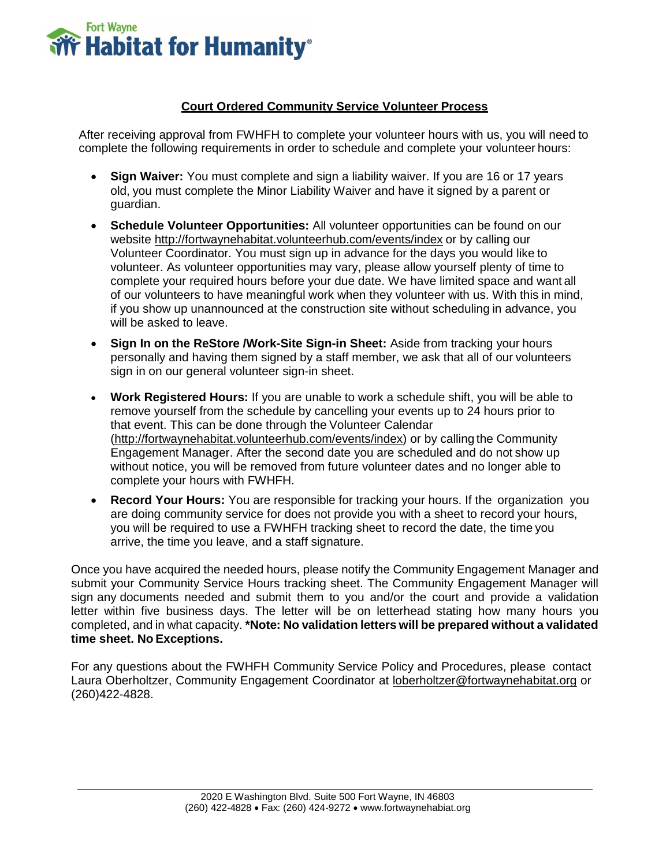

## **Court Ordered Community Service Volunteer Process**

After receiving approval from FWHFH to complete your volunteer hours with us, you will need to complete the following requirements in order to schedule and complete your volunteer hours:

- **Sign Waiver:** You must complete and sign a liability waiver. If you are 16 or 17 years old, you must complete the Minor Liability Waiver and have it signed by a parent or guardian.
- **Schedule Volunteer Opportunities:** All volunteer opportunities can be found on our website<http://fortwaynehabitat.volunteerhub.com/events/index> or by calling our Volunteer Coordinator. You must sign up in advance for the days you would like to volunteer. As volunteer opportunities may vary, please allow yourself plenty of time to complete your required hours before your due date. We have limited space and want all of our volunteers to have meaningful work when they volunteer with us. With this in mind, if you show up unannounced at the construction site without scheduling in advance, you will be asked to leave.
- **Sign In on the ReStore /Work-Site Sign-in Sheet:** Aside from tracking your hours personally and having them signed by a staff member, we ask that all of our volunteers sign in on our general volunteer sign-in sheet.
- **Work Registered Hours:** If you are unable to work a schedule shift, you will be able to remove yourself from the schedule by cancelling your events up to 24 hours prior to that event. This can be done through the Volunteer Calendar [\(http://fortwaynehabitat.volunteerhub.com/events/index\)](http://fortwaynehabitat.volunteerhub.com/events/index) or by calling the Community Engagement Manager. After the second date you are scheduled and do not show up without notice, you will be removed from future volunteer dates and no longer able to complete your hours with FWHFH.
- **Record Your Hours:** You are responsible for tracking your hours. If the organization you are doing community service for does not provide you with a sheet to record your hours, you will be required to use a FWHFH tracking sheet to record the date, the time you arrive, the time you leave, and a staff signature.

Once you have acquired the needed hours, please notify the Community Engagement Manager and submit your Community Service Hours tracking sheet. The Community Engagement Manager will sign any documents needed and submit them to you and/or the court and provide a validation letter within five business days. The letter will be on letterhead stating how many hours you completed, and in what capacity. **\*Note: No validation letters will be prepared without a validated time sheet. No Exceptions.**

For any questions about the FWHFH Community Service Policy and Procedures, please contact Laura Oberholtzer, Community Engagement Coordinator at [loberholtzer@fortwaynehabitat.org](mailto:loberholtzer@fortwaynehabitat.org) or (260)422-4828.